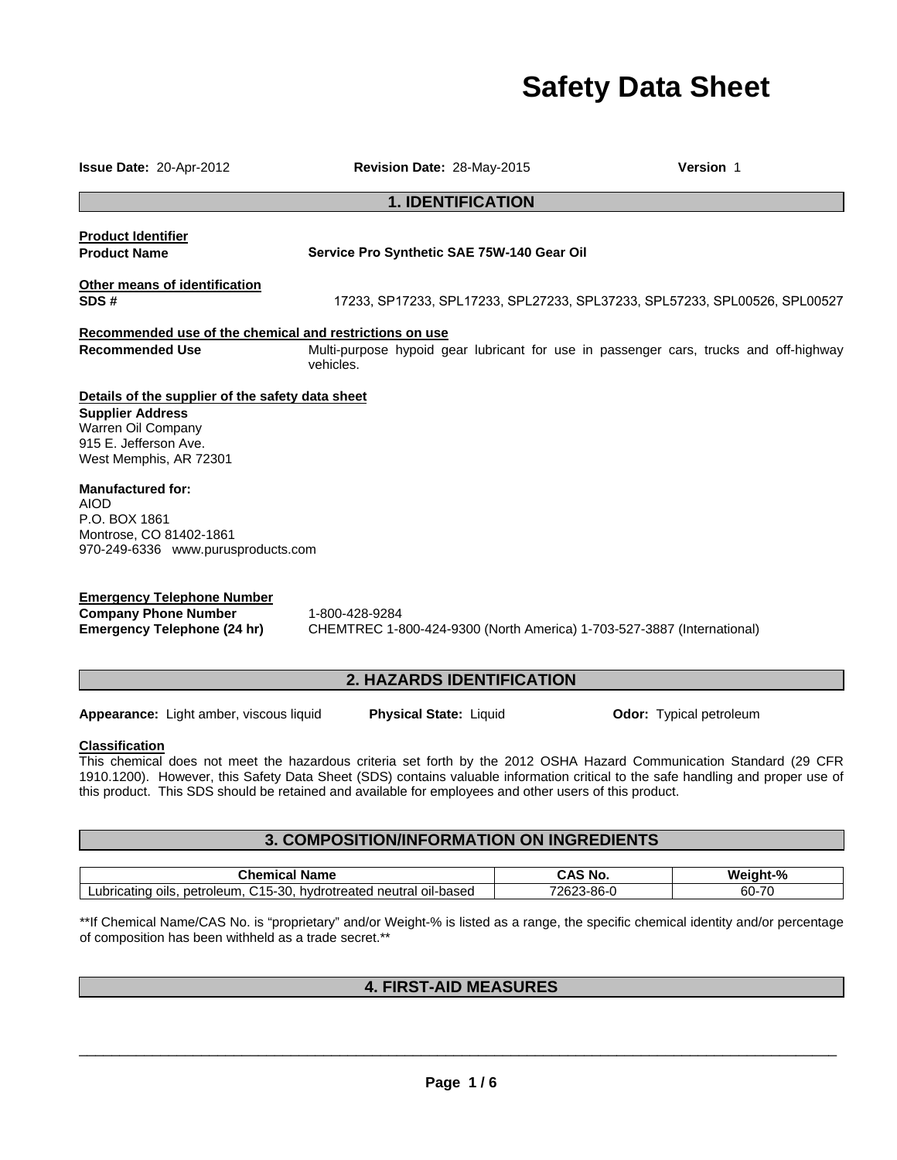# **Safety Data Sheet**

| Issue Date: 20-Apr-2012                                                                                                                              | Revision Date: 28-May-2015                 |                          | <b>Version 1</b>                                                                      |
|------------------------------------------------------------------------------------------------------------------------------------------------------|--------------------------------------------|--------------------------|---------------------------------------------------------------------------------------|
|                                                                                                                                                      |                                            | <b>1. IDENTIFICATION</b> |                                                                                       |
| <b>Product Identifier</b><br><b>Product Name</b>                                                                                                     | Service Pro Synthetic SAE 75W-140 Gear Oil |                          |                                                                                       |
| Other means of identification<br>SDS#                                                                                                                |                                            |                          | 17233, SP17233, SPL17233, SPL27233, SPL37233, SPL57233, SPL00526, SPL00527            |
| Recommended use of the chemical and restrictions on use                                                                                              |                                            |                          |                                                                                       |
| <b>Recommended Use</b>                                                                                                                               | vehicles.                                  |                          | Multi-purpose hypoid gear lubricant for use in passenger cars, trucks and off-highway |
| Details of the supplier of the safety data sheet<br><b>Supplier Address</b><br>Warren Oil Company<br>915 E. Jefferson Ave.<br>West Memphis, AR 72301 |                                            |                          |                                                                                       |
| <b>Manufactured for:</b><br><b>AIOD</b><br>P.O. BOX 1861<br>Montrose, CO 81402-1861<br>970-249-6336 www.purusproducts.com                            |                                            |                          |                                                                                       |

**Emergency Telephone Number Company Phone Number** 1-800-428-9284

**Emergency Telephone (24 hr)** CHEMTREC 1-800-424-9300 (North America) 1-703-527-3887 (International)

# **2. HAZARDS IDENTIFICATION**

**Appearance:** Light amber, viscous liquid **Physical State:** Liquid **Odor: Typical petroleum** 

**Classification**

This chemical does not meet the hazardous criteria set forth by the 2012 OSHA Hazard Communication Standard (29 CFR 1910.1200). However, this Safety Data Sheet (SDS) contains valuable information critical to the safe handling and proper use of this product. This SDS should be retained and available for employees and other users of this product.

# **3. COMPOSITION/INFORMATION ON INGREDIENTS**

| `hamira<br>Name<br>тно                                                                                        | NC                  | $\mathbf{a}$<br>W.<br>70 |
|---------------------------------------------------------------------------------------------------------------|---------------------|--------------------------|
| 45<br>-30<br>petroleum<br>-based<br>∟ubricating ∕<br>neutral<br>oils<br>hvdr<br>-oil-'<br>eated "<br>эн<br>-- | 70c<br>3-86-<br>-97 | 70<br>60-<br>. L         |

\*\*If Chemical Name/CAS No. is "proprietary" and/or Weight-% is listed as a range, the specific chemical identity and/or percentage of composition has been withheld as a trade secret.\*\*

# **4. FIRST-AID MEASURES**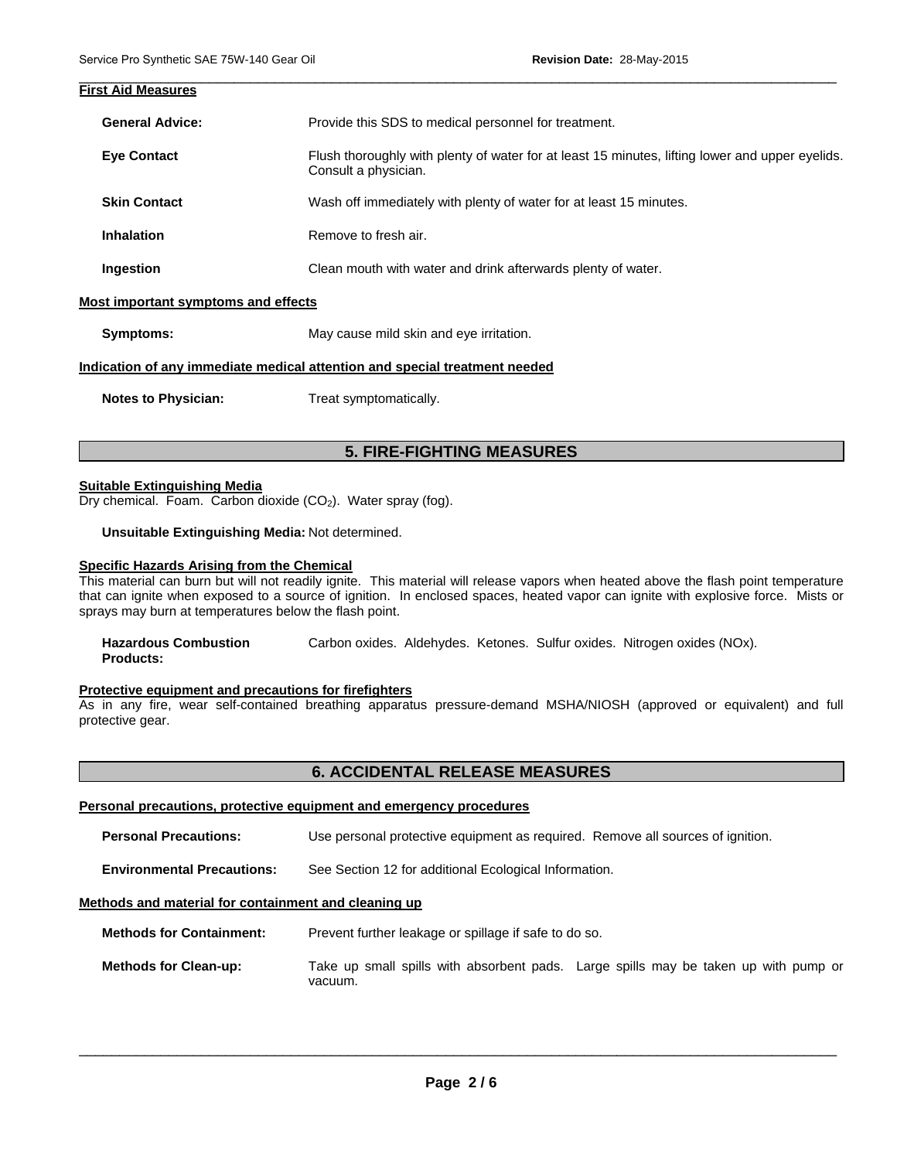| <b>First Aid Measures</b>           |                                                                                                                         |  |
|-------------------------------------|-------------------------------------------------------------------------------------------------------------------------|--|
| <b>General Advice:</b>              | Provide this SDS to medical personnel for treatment.                                                                    |  |
| <b>Eye Contact</b>                  | Flush thoroughly with plenty of water for at least 15 minutes, lifting lower and upper eyelids.<br>Consult a physician. |  |
| <b>Skin Contact</b>                 | Wash off immediately with plenty of water for at least 15 minutes.                                                      |  |
| <b>Inhalation</b>                   | Remove to fresh air.                                                                                                    |  |
| Ingestion                           | Clean mouth with water and drink afterwards plenty of water.                                                            |  |
| Most important symptoms and effects |                                                                                                                         |  |
| Symptoms:                           | May cause mild skin and eye irritation.                                                                                 |  |
|                                     | Indication of any immediate medical attention and special treatment needed                                              |  |
| <b>Notes to Physician:</b>          | Treat symptomatically.                                                                                                  |  |

\_\_\_\_\_\_\_\_\_\_\_\_\_\_\_\_\_\_\_\_\_\_\_\_\_\_\_\_\_\_\_\_\_\_\_\_\_\_\_\_\_\_\_\_\_\_\_\_\_\_\_\_\_\_\_\_\_\_\_\_\_\_\_\_\_\_\_\_\_\_\_\_\_\_\_\_\_\_\_\_\_\_\_\_\_\_\_\_\_\_\_\_\_

# **5. FIRE-FIGHTING MEASURES**

#### **Suitable Extinguishing Media**

Dry chemical. Foam. Carbon dioxide  $(CO<sub>2</sub>)$ . Water spray (fog).

**Unsuitable Extinguishing Media:** Not determined.

#### **Specific Hazards Arising from the Chemical**

This material can burn but will not readily ignite. This material will release vapors when heated above the flash point temperature that can ignite when exposed to a source of ignition. In enclosed spaces, heated vapor can ignite with explosive force. Mists or sprays may burn at temperatures below the flash point.

| <b>Hazardous Combustion</b> |  |  | Carbon oxides. Aldehydes. Ketones. Sulfur oxides. Nitrogen oxides (NOx). |
|-----------------------------|--|--|--------------------------------------------------------------------------|
| <b>Products:</b>            |  |  |                                                                          |

#### **Protective equipment and precautions for firefighters**

As in any fire, wear self-contained breathing apparatus pressure-demand MSHA/NIOSH (approved or equivalent) and full protective gear.

### **6. ACCIDENTAL RELEASE MEASURES**

#### **Personal precautions, protective equipment and emergency procedures**

**Personal Precautions:** Use personal protective equipment as required. Remove all sources of ignition.

**Environmental Precautions:** See Section 12 for additional Ecological Information.

#### **Methods and material for containment and cleaning up**

**Methods for Containment:** Prevent further leakage or spillage if safe to do so.

**Methods for Clean-up:** Take up small spills with absorbent pads. Large spills may be taken up with pump or vacuum.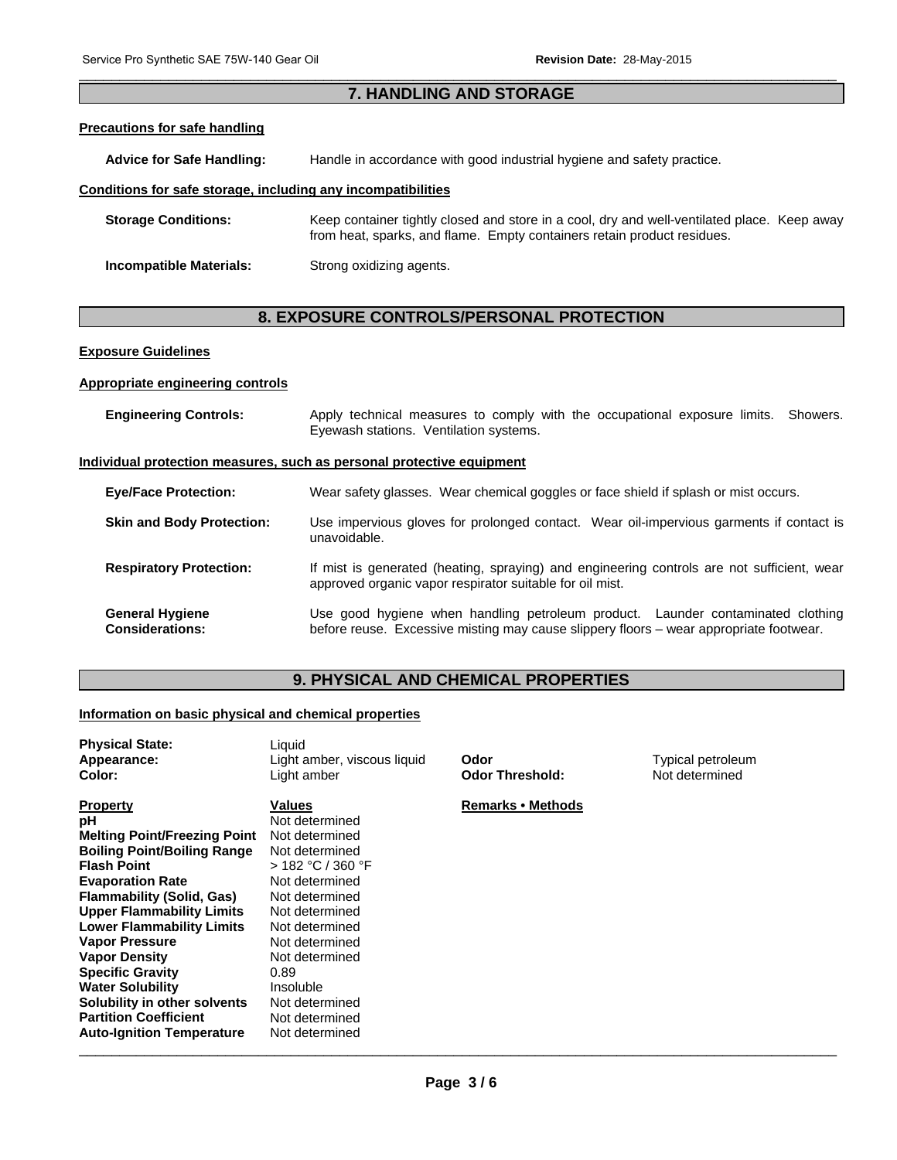## $\Box$ **7. HANDLING AND STORAGE**

#### **Precautions for safe handling**

**Advice for Safe Handling:** Handle in accordance with good industrial hygiene and safety practice.

#### **Conditions for safe storage, including any incompatibilities**

| <b>Storage Conditions:</b> | Keep container tightly closed and store in a cool, dry and well-ventilated place. Keep away<br>from heat, sparks, and flame. Empty containers retain product residues. |  |
|----------------------------|------------------------------------------------------------------------------------------------------------------------------------------------------------------------|--|
| Incompatible Materials:    | Strong oxidizing agents.                                                                                                                                               |  |

# **8. EXPOSURE CONTROLS/PERSONAL PROTECTION**

#### **Exposure Guidelines**

#### **Appropriate engineering controls**

| <b>Engineering Controls:</b>                     | Apply technical measures to comply with the occupational exposure limits. Showers.<br>Eyewash stations. Ventilation systems.                                              |
|--------------------------------------------------|---------------------------------------------------------------------------------------------------------------------------------------------------------------------------|
|                                                  | Individual protection measures, such as personal protective equipment                                                                                                     |
| <b>Eye/Face Protection:</b>                      | Wear safety glasses. Wear chemical goggles or face shield if splash or mist occurs.                                                                                       |
| <b>Skin and Body Protection:</b>                 | Use impervious gloves for prolonged contact. Wear oil-impervious garments if contact is<br>unavoidable.                                                                   |
| <b>Respiratory Protection:</b>                   | If mist is generated (heating, spraying) and engineering controls are not sufficient, wear<br>approved organic vapor respirator suitable for oil mist.                    |
| <b>General Hygiene</b><br><b>Considerations:</b> | Use good hygiene when handling petroleum product. Launder contaminated clothing<br>before reuse. Excessive misting may cause slippery floors - wear appropriate footwear. |

# **9. PHYSICAL AND CHEMICAL PROPERTIES**

#### **Information on basic physical and chemical properties**

| <b>Physical State:</b><br>Appearance:<br>Color: | Liquid<br>Light amber, viscous liquid<br>Light amber | Odor<br><b>Odor Threshold:</b> | Typical petroleum<br>Not determined |
|-------------------------------------------------|------------------------------------------------------|--------------------------------|-------------------------------------|
| <b>Property</b>                                 | Values                                               | <b>Remarks • Methods</b>       |                                     |
| рH                                              | Not determined                                       |                                |                                     |
| <b>Melting Point/Freezing Point</b>             | Not determined                                       |                                |                                     |
| <b>Boiling Point/Boiling Range</b>              | Not determined                                       |                                |                                     |
| <b>Flash Point</b>                              | > 182 °C / 360 °F                                    |                                |                                     |
| <b>Evaporation Rate</b>                         | Not determined                                       |                                |                                     |
| <b>Flammability (Solid, Gas)</b>                | Not determined                                       |                                |                                     |
| <b>Upper Flammability Limits</b>                | Not determined                                       |                                |                                     |
| <b>Lower Flammability Limits</b>                | Not determined                                       |                                |                                     |
| <b>Vapor Pressure</b>                           | Not determined                                       |                                |                                     |
| <b>Vapor Density</b>                            | Not determined                                       |                                |                                     |
| <b>Specific Gravity</b>                         | 0.89                                                 |                                |                                     |
| <b>Water Solubility</b>                         | Insoluble                                            |                                |                                     |
| Solubility in other solvents                    | Not determined                                       |                                |                                     |
| <b>Partition Coefficient</b>                    | Not determined                                       |                                |                                     |
| <b>Auto-Ignition Temperature</b>                | Not determined                                       |                                |                                     |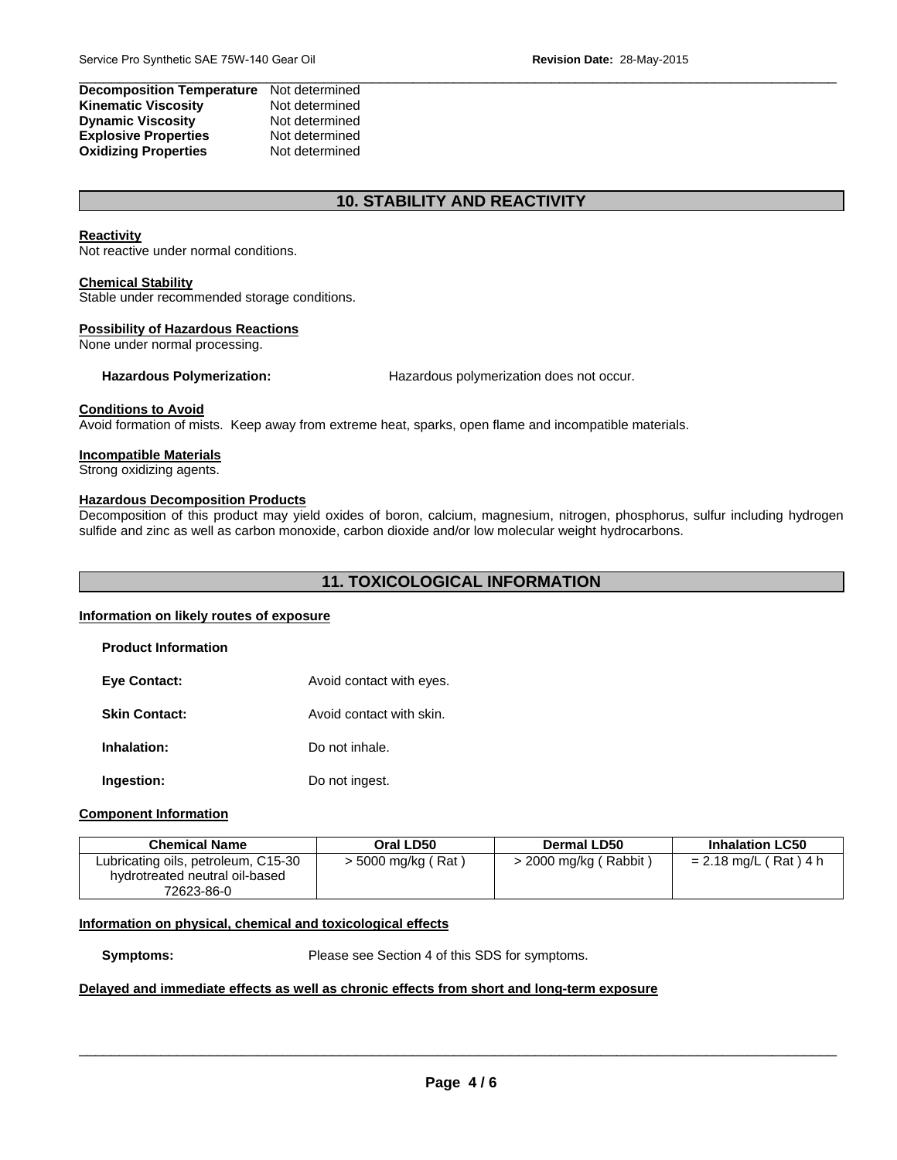| <b>Decomposition Temperature</b> | Not determined |
|----------------------------------|----------------|
| <b>Kinematic Viscosity</b>       | Not determined |
| <b>Dynamic Viscosity</b>         | Not determined |
| <b>Explosive Properties</b>      | Not determined |
| <b>Oxidizing Properties</b>      | Not determined |

## **10. STABILITY AND REACTIVITY**

#### **Reactivity**

Not reactive under normal conditions.

#### **Chemical Stability**

Stable under recommended storage conditions.

#### **Possibility of Hazardous Reactions**

None under normal processing.

**Hazardous Polymerization:** Hazardous polymerization does not occur.

#### **Conditions to Avoid**

Avoid formation of mists. Keep away from extreme heat, sparks, open flame and incompatible materials.

#### **Incompatible Materials**

Strong oxidizing agents.

#### **Hazardous Decomposition Products**

Decomposition of this product may yield oxides of boron, calcium, magnesium, nitrogen, phosphorus, sulfur including hydrogen sulfide and zinc as well as carbon monoxide, carbon dioxide and/or low molecular weight hydrocarbons.

# **11. TOXICOLOGICAL INFORMATION**

#### **Information on likely routes of exposure**

| <b>Product Information</b> |                          |
|----------------------------|--------------------------|
| <b>Eye Contact:</b>        | Avoid contact with eyes. |
| <b>Skin Contact:</b>       | Avoid contact with skin. |
| Inhalation:                | Do not inhale.           |

**Ingestion:** Do not ingest.

#### **Component Information**

| <b>Chemical Name</b>                                                                | Oral LD50            | Dermal LD50             | <b>Inhalation LC50</b>  |
|-------------------------------------------------------------------------------------|----------------------|-------------------------|-------------------------|
| Lubricating oils, petroleum, C15-30<br>hydrotreated neutral oil-based<br>72623-86-0 | $>$ 5000 mg/kg (Rat) | $>$ 2000 mg/kg (Rabbit) | $= 2.18$ mg/L (Rat) 4 h |

#### **Information on physical, chemical and toxicological effects**

**Symptoms:** Please see Section 4 of this SDS for symptoms.

#### **Delayed and immediate effects as well as chronic effects from short and long-term exposure**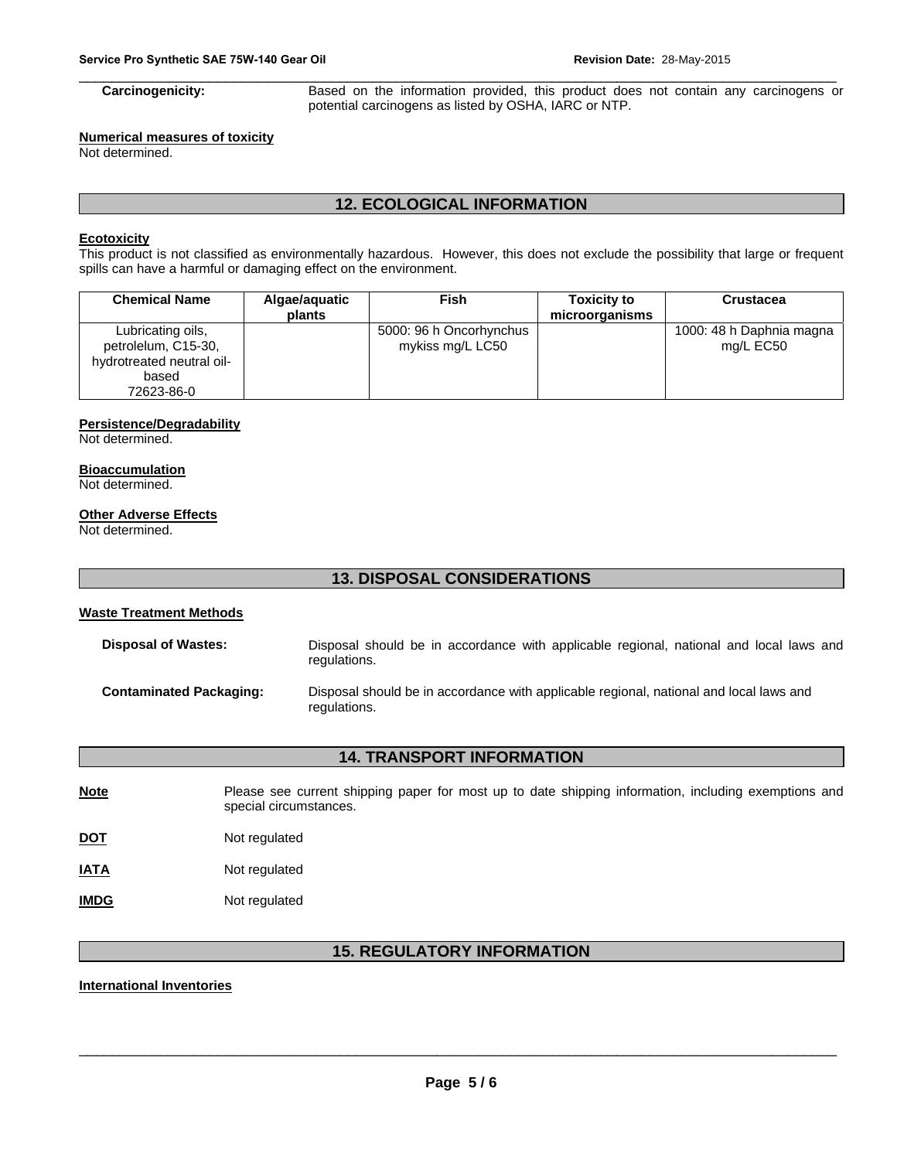$\Box$ **Carcinogenicity:** Based on the information provided, this product does not contain any carcinogens or potential carcinogens as listed by OSHA, IARC or NTP.

# **Numerical measures of toxicity**

Not determined.

# **12. ECOLOGICAL INFORMATION**

#### **Ecotoxicity**

This product is not classified as environmentally hazardous. However, this does not exclude the possibility that large or frequent spills can have a harmful or damaging effect on the environment.

| <b>Chemical Name</b>                                                                         | Algae/aquatic<br>plants | Fish                                        | <b>Toxicity to</b><br>microorganisms | <b>Crustacea</b>                      |
|----------------------------------------------------------------------------------------------|-------------------------|---------------------------------------------|--------------------------------------|---------------------------------------|
| Lubricating oils,<br>petrolelum, C15-30,<br>hydrotreated neutral oil-<br>based<br>72623-86-0 |                         | 5000: 96 h Oncorhynchus<br>mykiss mg/L LC50 |                                      | 1000: 48 h Daphnia magna<br>mg/L EC50 |

#### **Persistence/Degradability**

Not determined.

# **Bioaccumulation**

Not determined.

#### **Other Adverse Effects**

Not determined.

#### **13. DISPOSAL CONSIDERATIONS**

#### **Waste Treatment Methods**

| <b>Disposal of Wastes:</b>     | Disposal should be in accordance with applicable regional, national and local laws and<br>regulations. |
|--------------------------------|--------------------------------------------------------------------------------------------------------|
| <b>Contaminated Packaging:</b> | Disposal should be in accordance with applicable regional, national and local laws and<br>regulations. |

# **14. TRANSPORT INFORMATION**

**Note** Please see current shipping paper for most up to date shipping information, including exemptions and special circumstances.

**DOT** Not regulated

| <b>IATA</b> | Not regulated |
|-------------|---------------|
|-------------|---------------|

**IMDG** Not regulated

# **15. REGULATORY INFORMATION**

#### **International Inventories**